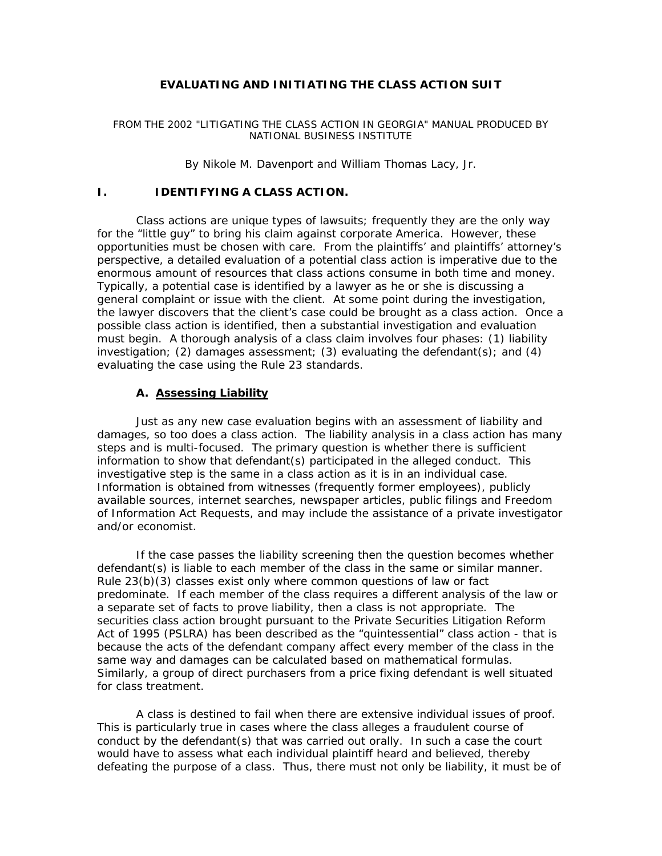# **EVALUATING AND INITIATING THE CLASS ACTION SUIT**

#### FROM THE 2002 "LITIGATING THE CLASS ACTION IN GEORGIA" MANUAL PRODUCED BY NATIONAL BUSINESS INSTITUTE

#### *By Nikole M. Davenport and William Thomas Lacy, Jr.*

### **I. IDENTIFYING A CLASS ACTION.**

Class actions are unique types of lawsuits; frequently they are the only way for the "little guy" to bring his claim against corporate America. However, these opportunities must be chosen with care. From the plaintiffs' and plaintiffs' attorney's perspective, a detailed evaluation of a potential class action is imperative due to the enormous amount of resources that class actions consume in both time and money. Typically, a potential case is identified by a lawyer as he or she is discussing a general complaint or issue with the client. At some point during the investigation, the lawyer discovers that the client's case could be brought as a class action. Once a possible class action is identified, then a substantial investigation and evaluation must begin. A thorough analysis of a class claim involves four phases: (1) liability investigation; (2) damages assessment; (3) evaluating the defendant(s); and (4) evaluating the case using the Rule 23 standards.

#### **A. Assessing Liability**

Just as any new case evaluation begins with an assessment of liability and damages, so too does a class action. The liability analysis in a class action has many steps and is multi-focused. The primary question is whether there is sufficient information to show that defendant(s) participated in the alleged conduct. This investigative step is the same in a class action as it is in an individual case. Information is obtained from witnesses (frequently former employees), publicly available sources, internet searches, newspaper articles, public filings and Freedom of Information Act Requests, and may include the assistance of a private investigator and/or economist.

If the case passes the liability screening then the question becomes whether defendant(s) is liable to each member of the class in the same or similar manner. Rule 23(b)(3) classes exist only where common questions of law or fact predominate. If each member of the class requires a different analysis of the law or a separate set of facts to prove liability, then a class is not appropriate. The securities class action brought pursuant to the Private Securities Litigation Reform Act of 1995 (PSLRA) has been described as the "quintessential" class action - that is because the acts of the defendant company affect every member of the class in the same way and damages can be calculated based on mathematical formulas. Similarly, a group of direct purchasers from a price fixing defendant is well situated for class treatment.

A class is destined to fail when there are extensive individual issues of proof. This is particularly true in cases where the class alleges a fraudulent course of conduct by the defendant(s) that was carried out orally. In such a case the court would have to assess what each individual plaintiff heard and believed, thereby defeating the purpose of a class. Thus, there must not only be liability, it must be of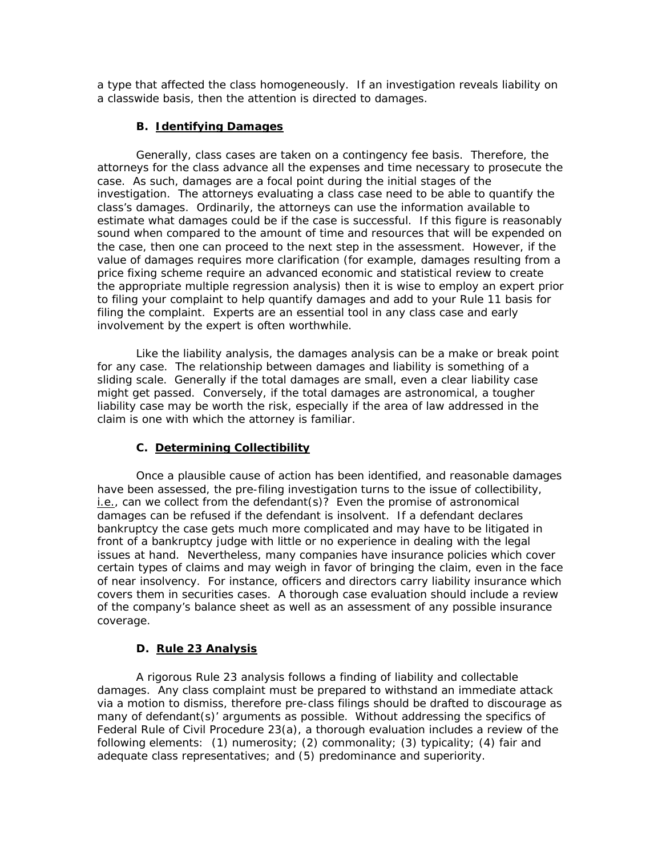a type that affected the class homogeneously. If an investigation reveals liability on a classwide basis, then the attention is directed to damages.

### **B. Identifying Damages**

Generally, class cases are taken on a contingency fee basis. Therefore, the attorneys for the class advance all the expenses and time necessary to prosecute the case. As such, damages are a focal point during the initial stages of the investigation. The attorneys evaluating a class case need to be able to quantify the class's damages. Ordinarily, the attorneys can use the information available to estimate what damages could be if the case is successful. If this figure is reasonably sound when compared to the amount of time and resources that will be expended on the case, then one can proceed to the next step in the assessment. However, if the value of damages requires more clarification (for example, damages resulting from a price fixing scheme require an advanced economic and statistical review to create the appropriate multiple regression analysis) then it is wise to employ an expert prior to filing your complaint to help quantify damages and add to your Rule 11 basis for filing the complaint. Experts are an essential tool in any class case and early involvement by the expert is often worthwhile.

Like the liability analysis, the damages analysis can be a make or break point for any case. The relationship between damages and liability is something of a sliding scale. Generally if the total damages are small, even a clear liability case might get passed. Conversely, if the total damages are astronomical, a tougher liability case may be worth the risk, especially if the area of law addressed in the claim is one with which the attorney is familiar.

### **C. Determining Collectibility**

Once a plausible cause of action has been identified, and reasonable damages have been assessed, the pre-filing investigation turns to the issue of collectibility, i.e., can we collect from the defendant(s)? Even the promise of astronomical damages can be refused if the defendant is insolvent. If a defendant declares bankruptcy the case gets much more complicated and may have to be litigated in front of a bankruptcy judge with little or no experience in dealing with the legal issues at hand. Nevertheless, many companies have insurance policies which cover certain types of claims and may weigh in favor of bringing the claim, even in the face of near insolvency. For instance, officers and directors carry liability insurance which covers them in securities cases. A thorough case evaluation should include a review of the company's balance sheet as well as an assessment of any possible insurance coverage.

### **D. Rule 23 Analysis**

A rigorous Rule 23 analysis follows a finding of liability and collectable damages. Any class complaint must be prepared to withstand an immediate attack via a motion to dismiss, therefore pre-class filings should be drafted to discourage as many of defendant(s)' arguments as possible. Without addressing the specifics of Federal Rule of Civil Procedure 23(a), a thorough evaluation includes a review of the following elements: (1) numerosity; (2) commonality; (3) typicality; (4) fair and adequate class representatives; and (5) predominance and superiority.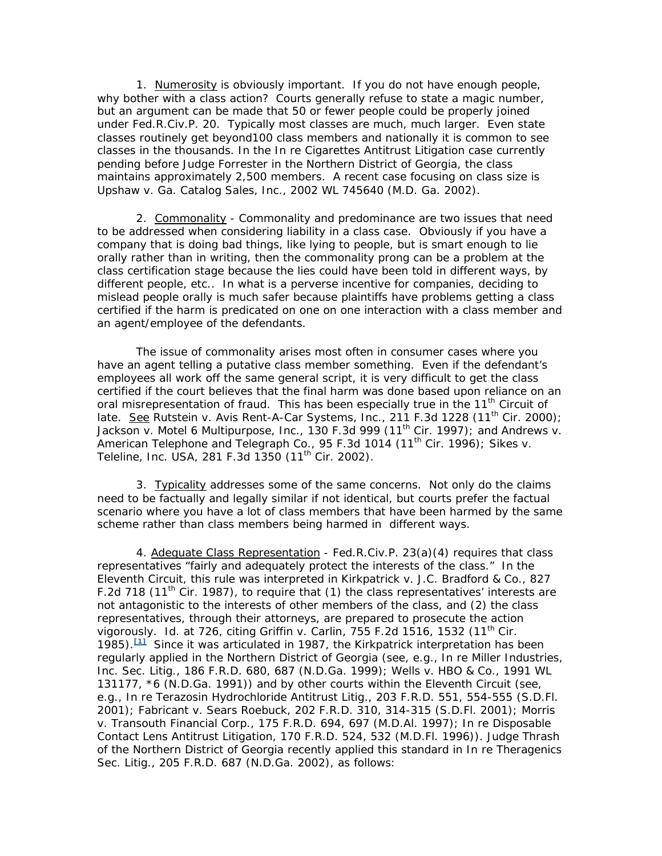1. Numerosity is obviously important. If you do not have enough people, why bother with a class action? Courts generally refuse to state a magic number, but an argument can be made that 50 or fewer people could be properly joined under Fed.R.Civ.P. 20. Typically most classes are much, much larger. Even state classes routinely get beyond100 class members and nationally it is common to see classes in the thousands. In the *In re Cigarettes Antitrust Litigation* case currently pending before Judge Forrester in the Northern District of Georgia, the class maintains approximately 2,500 members. A recent case focusing on class size is *Upshaw v. Ga. Catalog Sales, Inc.*, 2002 WL 745640 (M.D. Ga. 2002).

2. Commonality - Commonality and predominance are two issues that need to be addressed when considering liability in a class case. Obviously if you have a company that is doing bad things, like lying to people, but is smart enough to lie orally rather than in writing, then the commonality prong can be a problem at the class certification stage because the lies could have been told in different ways, by different people, etc.. In what is a perverse incentive for companies, deciding to mislead people orally is much safer because plaintiffs have problems getting a class certified if the harm is predicated on one on one interaction with a class member and an agent/employee of the defendants.

The issue of commonality arises most often in consumer cases where you have an agent telling a putative class member something. Even if the defendant's employees all work off the same general script, it is very difficult to get the class certified if the court believes that the final harm was done based upon reliance on an oral misrepresentation of fraud. This has been especially true in the 11<sup>th</sup> Circuit of late. See Rutstein v. Avis Rent-A-Car Systems, Inc., 211 F.3d 1228 (11<sup>th</sup> Cir. 2000); *Jackson v. Motel 6 Multipurpose, Inc.*, 130 F.3d 999 (11th Cir. 1997); and *Andrews v.*  American Telephone and Telegraph Co., 95 F.3d 1014 (11<sup>th</sup> Cir. 1996); Sikes v. *Teleline, Inc. USA,* 281 F.3d 1350 (11th Cir. 2002).

3. Typicality addresses some of the same concerns. Not only do the claims need to be factually and legally similar if not identical, but courts prefer the factual scenario where you have a lot of class members that have been harmed by the same scheme rather than class members being harmed in different ways.

4. Adequate Class Representation - Fed.R.Civ.P. 23(a)(4) requires that class representatives "fairly and adequately protect the interests of the class." In the Eleventh Circuit, this rule was interpreted in *Kirkpatrick v. J.C. Bradford & Co.*, 827 F.2d 718 (11<sup>th</sup> Cir. 1987), to require that (1) the class representatives' interests are not antagonistic to the interests of other members of the class, and (2) the class representatives, through their attorneys, are prepared to prosecute the action vigorously. *Id.* at 726, citing *Griffin v. Carlin*, 755 F.2d 1516, 1532 (11th Cir. 1985).**[1]** Since it was articulated in 1987, the *Kirkpatrick* interpretation has been regularly applied in the Northern District of Georgia (*see*, *e.g.*, *In re Miller Industries, Inc. Sec. Litig*., 186 F.R.D. 680, 687 (N.D.Ga. 1999); *Wells v. HBO & Co.*, 1991 WL 131177, \*6 (N.D.Ga. 1991)) and by other courts within the Eleventh Circuit (*see*, *e.g.*, *In re Terazosin Hydrochloride Antitrust Litig.*, 203 F.R.D. 551, 554-555 (S.D.Fl. 2001); *Fabricant v. Sears Roebuck*, 202 F.R.D. 310, 314-315 (S.D.Fl. 2001); *Morris v. Transouth Financial Corp.*, 175 F.R.D. 694, 697 (M.D.Al. 1997); *In re Disposable Contact Lens Antitrust Litigation*, 170 F.R.D. 524, 532 (M.D.Fl. 1996)). Judge Thrash of the Northern District of Georgia recently applied this standard in *In re Theragenics Sec. Litig.*, 205 F.R.D. 687 (N.D.Ga. 2002), as follows: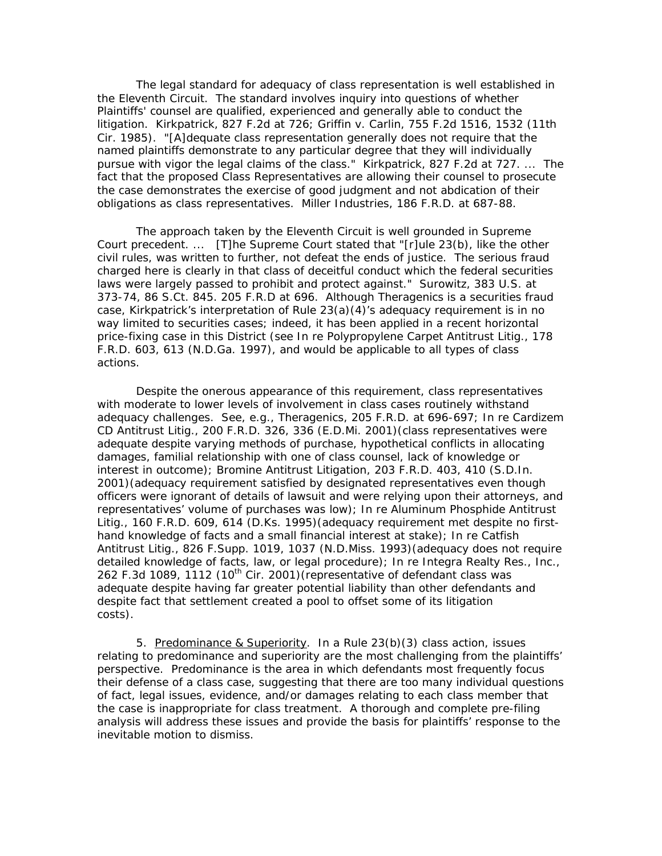The legal standard for adequacy of class representation is well established in the Eleventh Circuit. The standard involves inquiry into questions of whether Plaintiffs' counsel are qualified, experienced and generally able to conduct the litigation. *Kirkpatrick,* 827 F.2d at 726; *Griffin v. Carlin,* 755 F.2d 1516, 1532 (11th Cir. 1985). "[A]dequate class representation generally does not require that the named plaintiffs demonstrate to any particular degree that they will individually pursue with vigor the legal claims of the class." *Kirkpatrick,* 827 F.2d at 727. ... The fact that the proposed Class Representatives are allowing their counsel to prosecute the case demonstrates the exercise of good judgment and not abdication of their obligations as class representatives. *Miller Industries,* 186 F.R.D. at 687-88.

The approach taken by the Eleventh Circuit is well grounded in Supreme Court precedent. ... [T]he Supreme Court stated that "[r]ule 23(b), like the other civil rules, was written to further, not defeat the ends of justice. The serious fraud charged here is clearly in that class of deceitful conduct which the federal securities laws were largely passed to prohibit and protect against." *Surowitz,* 383 U.S. at 373-74, 86 S.Ct. 845. 205 F.R.D at 696. Although *Theragenics* is a securities fraud case, *Kirkpatrick*'s interpretation of Rule 23(a)(4)'s adequacy requirement is in no way limited to securities cases; indeed, it has been applied in a recent horizontal price-fixing case in this District *(see In re Polypropylene Carpet Antitrust Litig.*, 178 F.R.D. 603, 613 (N.D.Ga. 1997), and would be applicable to all types of class actions.

Despite the onerous appearance of this requirement, class representatives with moderate to lower levels of involvement in class cases routinely withstand adequacy challenges. *See*, *e.g.*, *Theragenics*, 205 F.R.D. at 696-697; *In re Cardizem CD Antitrust Litig.*, 200 F.R.D. 326, 336 (E.D.Mi. 2001)(class representatives were adequate despite varying methods of purchase, hypothetical conflicts in allocating damages, familial relationship with one of class counsel, lack of knowledge or interest in outcome); *Bromine Antitrust Litigation*, 203 F.R.D. 403, 410 (S.D.In. 2001)(adequacy requirement satisfied by designated representatives even though officers were ignorant of details of lawsuit and were relying upon their attorneys, and representatives' volume of purchases was low); *In re Aluminum Phosphide Antitrust Litig.*, 160 F.R.D. 609, 614 (D.Ks. 1995)(adequacy requirement met despite no firsthand knowledge of facts and a small financial interest at stake); *In re Catfish Antitrust Litig.*, 826 F.Supp. 1019, 1037 (N.D.Miss. 1993)(adequacy does not require detailed knowledge of facts, law, or legal procedure); *In re Integra Realty Res., Inc.*, 262 F.3d 1089, 1112 (10<sup>th</sup> Cir. 2001) (representative of defendant class was adequate despite having far greater potential liability than other defendants and despite fact that settlement created a pool to offset some of its litigation costs).

5. Predominance & Superiority. In a Rule 23(b)(3) class action, issues relating to predominance and superiority are the most challenging from the plaintiffs' perspective. Predominance is the area in which defendants most frequently focus their defense of a class case, suggesting that there are too many individual questions of fact, legal issues, evidence, and/or damages relating to each class member that the case is inappropriate for class treatment. A thorough and complete pre-filing analysis will address these issues and provide the basis for plaintiffs' response to the inevitable motion to dismiss.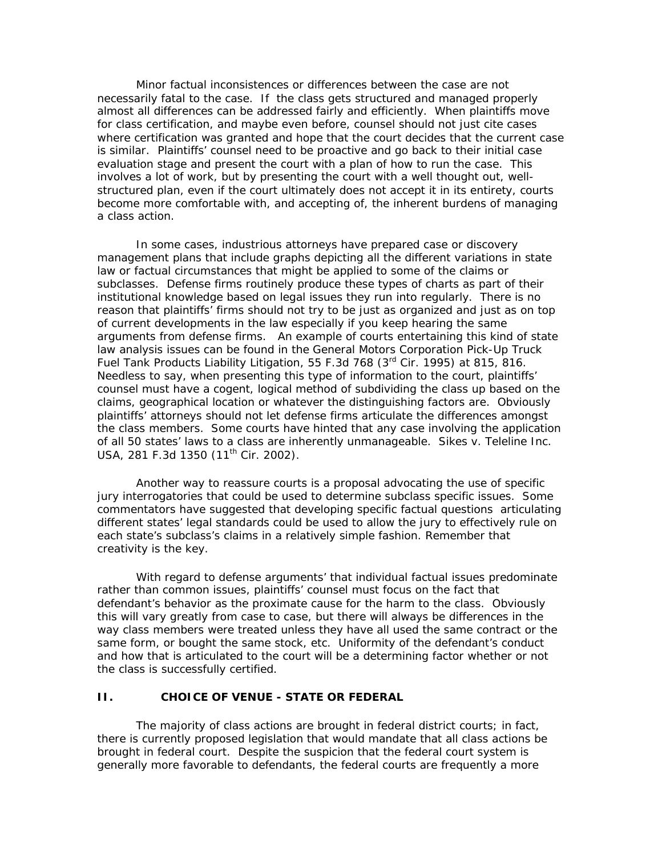Minor factual inconsistences or differences between the case are not necessarily fatal to the case. If the class gets structured and managed properly almost all differences can be addressed fairly and efficiently. When plaintiffs move for class certification, and maybe even before, counsel should not just cite cases where certification was granted and hope that the court decides that the current case is similar. Plaintiffs' counsel need to be proactive and go back to their initial case evaluation stage and present the court with a plan of how to run the case. This involves a lot of work, but by presenting the court with a well thought out, wellstructured plan, even if the court ultimately does not accept it in its entirety, courts become more comfortable with, and accepting of, the inherent burdens of managing a class action.

In some cases, industrious attorneys have prepared case or discovery management plans that include graphs depicting all the different variations in state law or factual circumstances that might be applied to some of the claims or subclasses. Defense firms routinely produce these types of charts as part of their institutional knowledge based on legal issues they run into regularly. There is no reason that plaintiffs' firms should not try to be just as organized and just as on top of current developments in the law especially if you keep hearing the same arguments from defense firms. An example of courts entertaining this kind of state law analysis issues can be found in the *General Motors Corporation Pick-Up Truck Fuel Tank Products Liability Litigation*, 55 F.3d 768 (3rd Cir. 1995) at 815, 816. Needless to say, when presenting this type of information to the court, plaintiffs' counsel must have a cogent, logical method of subdividing the class up based on the claims, geographical location or whatever the distinguishing factors are. Obviously plaintiffs' attorneys should not let defense firms articulate the differences amongst the class members. Some courts have hinted that any case involving the application of all 50 states' laws to a class are inherently unmanageable. *Sikes v. Teleline Inc.*  USA, 281 F.3d 1350 (11<sup>th</sup> Cir. 2002).

Another way to reassure courts is a proposal advocating the use of specific jury interrogatories that could be used to determine subclass specific issues. Some commentators have suggested that developing specific factual questions articulating different states' legal standards could be used to allow the jury to effectively rule on each state's subclass's claims in a relatively simple fashion. Remember that creativity is the key.

With regard to defense arguments' that individual factual issues predominate rather than common issues, plaintiffs' counsel must focus on the fact that defendant's behavior as the proximate cause for the harm to the class. Obviously this will vary greatly from case to case, but there will always be differences in the way class members were treated unless they have all used the same contract or the same form, or bought the same stock, etc. Uniformity of the defendant's conduct and how that is articulated to the court will be a determining factor whether or not the class is successfully certified.

#### **II. CHOICE OF VENUE - STATE OR FEDERAL**

The majority of class actions are brought in federal district courts; in fact, there is currently proposed legislation that would mandate that all class actions be brought in federal court. Despite the suspicion that the federal court system is generally more favorable to defendants, the federal courts are frequently a more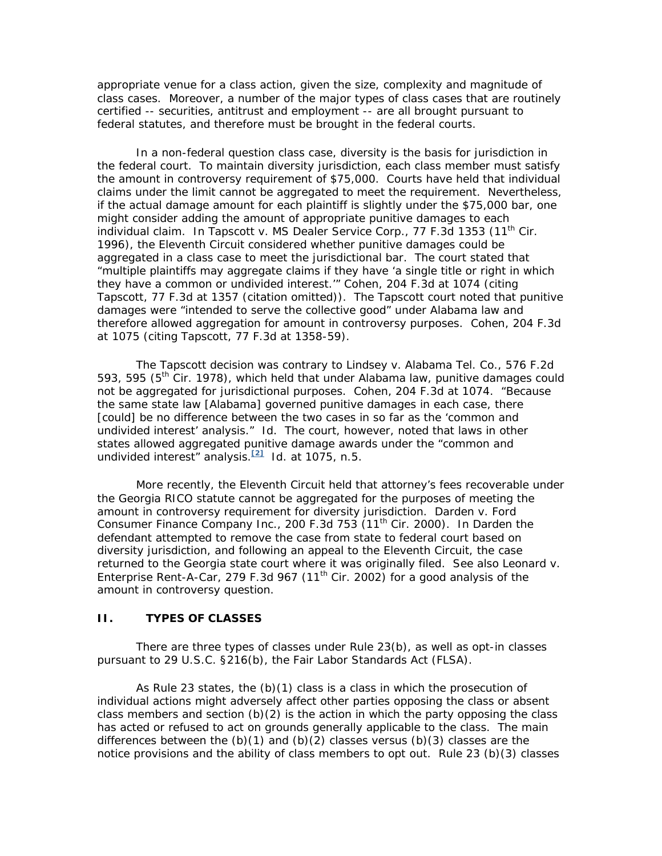appropriate venue for a class action, given the size, complexity and magnitude of class cases. Moreover, a number of the major types of class cases that are routinely certified -- securities, antitrust and employment -- are all brought pursuant to federal statutes, and therefore must be brought in the federal courts.

In a non-federal question class case, diversity is the basis for jurisdiction in the federal court. To maintain diversity jurisdiction, each class member must satisfy the amount in controversy requirement of \$75,000. Courts have held that individual claims under the limit cannot be aggregated to meet the requirement. Nevertheless, if the actual damage amount for each plaintiff is slightly under the \$75,000 bar, one might consider adding the amount of appropriate punitive damages to each individual claim. In Tapscott v. MS Dealer Service Corp., 77 F.3d 1353 (11<sup>th</sup> Cir. 1996), the Eleventh Circuit considered whether punitive damages could be aggregated in a class case to meet the jurisdictional bar. The court stated that "multiple plaintiffs may aggregate claims if they have 'a single title or right in which they have a common or undivided interest.'" *Cohen*, 204 F.3d at 1074 (citing *Tapscott*, 77 F.3d at 1357 (citation omitted)). The *Tapscott* court noted that punitive damages were "intended to serve the collective good" under Alabama law and therefore allowed aggregation for amount in controversy purposes. *Cohen*, 204 F.3d at 1075 (citing *Tapscott*, 77 F.3d at 1358-59).

The *Tapscott* decision was contrary to *Lindsey v. Alabama Tel. Co.*, 576 F.2d 593, 595 ( $5<sup>th</sup>$  Cir. 1978), which held that under Alabama law, punitive damages could not be aggregated for jurisdictional purposes. *Cohen,* 204 F.3d at 1074. "Because the same state law [Alabama] governed punitive damages in each case, there [could] be no difference between the two cases in so far as the 'common and undivided interest' analysis." *Id.* The court, however, noted that laws in other states allowed aggregated punitive damage awards under the "common and undivided interest" analysis.**[2]** *Id.* at 1075, n.5.

More recently, the Eleventh Circuit held that attorney's fees recoverable under the Georgia RICO statute cannot be aggregated for the purposes of meeting the amount in controversy requirement for diversity jurisdiction. *Darden v. Ford Consumer Finance Company Inc.*, 200 F.3d 753 (11th Cir. 2000). In *Darden* the defendant attempted to remove the case from state to federal court based on diversity jurisdiction, and following an appeal to the Eleventh Circuit, the case returned to the Georgia state court where it was originally filed. *See also Leonard v. Enterprise Rent-A-Car*, 279 F.3d 967 (11th Cir. 2002) for a good analysis of the amount in controversy question.

# **II. TYPES OF CLASSES**

There are three types of classes under Rule 23(b), as well as opt-in classes pursuant to 29 U.S.C. §216(b), the Fair Labor Standards Act (FLSA).

As Rule 23 states, the (b)(1) class is a class in which the prosecution of individual actions might adversely affect other parties opposing the class or absent class members and section  $(b)(2)$  is the action in which the party opposing the class has acted or refused to act on grounds generally applicable to the class. The main differences between the  $(b)(1)$  and  $(b)(2)$  classes versus  $(b)(3)$  classes are the notice provisions and the ability of class members to opt out. Rule 23 (b)(3) classes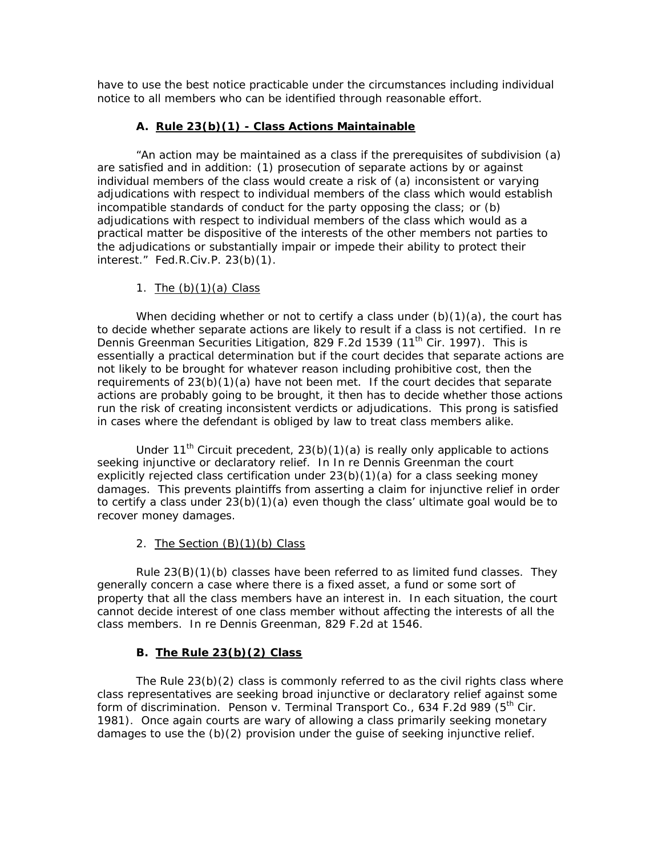have to use the best notice practicable under the circumstances including individual notice to all members who can be identified through reasonable effort.

# **A. Rule 23(b)(1) - Class Actions Maintainable**

"An action may be maintained as a class if the prerequisites of subdivision (a) are satisfied and in addition: (1) prosecution of separate actions by or against individual members of the class would create a risk of (a) inconsistent or varying adjudications with respect to individual members of the class which would establish incompatible standards of conduct for the party opposing the class; or (b) adjudications with respect to individual members of the class which would as a practical matter be dispositive of the interests of the other members not parties to the adjudications or substantially impair or impede their ability to protect their interest." Fed.R.Civ.P. 23(b)(1).

### 1. The  $(b)(1)(a)$  Class

When deciding whether or not to certify a class under  $(b)(1)(a)$ , the court has to decide whether separate actions are likely to result if a class is not certified. *In re Dennis Greenman Securities Litigation*, 829 F.2d 1539 (11th Cir. 1997). This is essentially a practical determination but if the court decides that separate actions are not likely to be brought for whatever reason including prohibitive cost, then the requirements of  $23(b)(1)(a)$  have not been met. If the court decides that separate actions are probably going to be brought, it then has to decide whether those actions run the risk of creating inconsistent verdicts or adjudications. This prong is satisfied in cases where the defendant is obliged by law to treat class members alike.

Under 11<sup>th</sup> Circuit precedent, 23(b)(1)(a) is really only applicable to actions seeking injunctive or declaratory relief. In *In re Dennis Greenman* the court explicitly rejected class certification under  $23(b)(1)(a)$  for a class seeking money damages. This prevents plaintiffs from asserting a claim for injunctive relief in order to certify a class under 23(b)(1)(a) even though the class' ultimate goal would be to recover money damages.

# 2. The Section (B)(1)(b) Class

Rule 23(B)(1)(b) classes have been referred to as limited fund classes. They generally concern a case where there is a fixed asset, a fund or some sort of property that all the class members have an interest in. In each situation, the court cannot decide interest of one class member without affecting the interests of all the class members. *In re Dennis Greenman*, 829 F.2d at 1546.

# **B. The Rule 23(b)(2) Class**

The Rule 23(b)(2) class is commonly referred to as the civil rights class where class representatives are seeking broad injunctive or declaratory relief against some form of discrimination. *Penson v. Terminal Transport Co.*, 634 F.2d 989 (5th Cir. 1981). Once again courts are wary of allowing a class primarily seeking monetary damages to use the (b)(2) provision under the guise of seeking injunctive relief.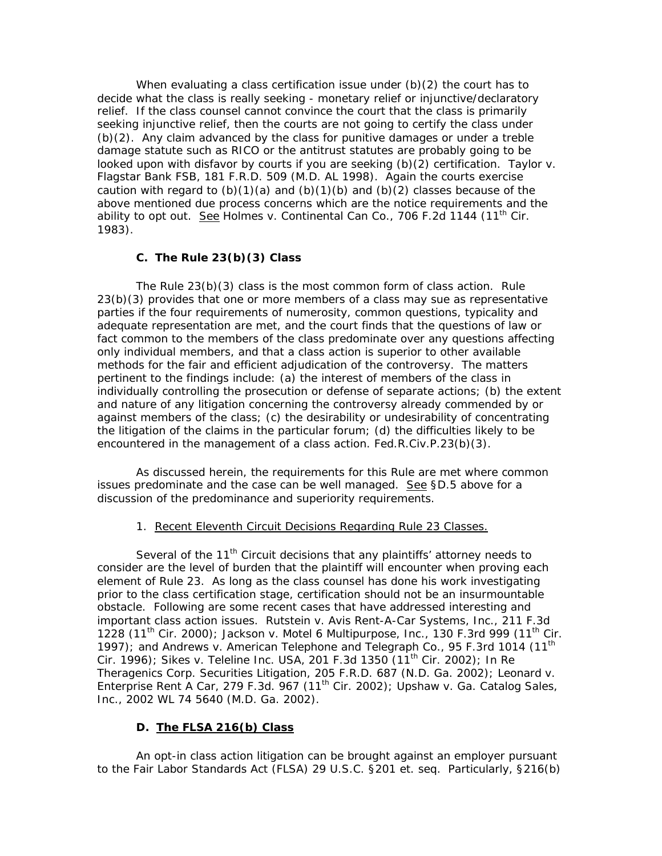When evaluating a class certification issue under (b)(2) the court has to decide what the class is really seeking - monetary relief or injunctive/declaratory relief. If the class counsel cannot convince the court that the class is primarily seeking injunctive relief, then the courts are not going to certify the class under (b)(2). Any claim advanced by the class for punitive damages or under a treble damage statute such as RICO or the antitrust statutes are probably going to be looked upon with disfavor by courts if you are seeking (b)(2) certification. *Taylor v. Flagstar Bank FSB*, 181 F.R.D. 509 (M.D. AL 1998). Again the courts exercise caution with regard to  $(b)(1)(a)$  and  $(b)(1)(b)$  and  $(b)(2)$  classes because of the above mentioned due process concerns which are the notice requirements and the ability to opt out. See Holmes v. Continental Can Co., 706 F.2d 1144 (11<sup>th</sup> Cir. 1983).

### **C. The Rule 23(b)(3) Class**

The Rule 23(b)(3) class is the most common form of class action. Rule 23(b)(3) provides that one or more members of a class may sue as representative parties if the four requirements of numerosity, common questions, typicality and adequate representation are met, and the court finds that the questions of law or fact common to the members of the class predominate over any questions affecting only individual members, and that a class action is superior to other available methods for the fair and efficient adjudication of the controversy. The matters pertinent to the findings include: (a) the interest of members of the class in individually controlling the prosecution or defense of separate actions; (b) the extent and nature of any litigation concerning the controversy already commended by or against members of the class; (c) the desirability or undesirability of concentrating the litigation of the claims in the particular forum; (d) the difficulties likely to be encountered in the management of a class action. Fed.R.Civ.P.23(b)(3).

As discussed herein, the requirements for this Rule are met where common issues predominate and the case can be well managed. See §D.5 above for a discussion of the predominance and superiority requirements.

### 1. Recent Eleventh Circuit Decisions Regarding Rule 23 Classes.

Several of the  $11<sup>th</sup>$  Circuit decisions that any plaintiffs' attorney needs to consider are the level of burden that the plaintiff will encounter when proving each element of Rule 23. As long as the class counsel has done his work investigating prior to the class certification stage, certification should not be an insurmountable obstacle. Following are some recent cases that have addressed interesting and important class action issues. *Rutstein v. Avis Rent-A-Car Systems, Inc.*, 211 F.3d 1228 (11th Cir. 2000); *Jackson v. Motel 6 Multipurpose, Inc.*, 130 F.3rd 999 (11th Cir. 1997); and *Andrews v. American Telephone and Telegraph Co.*, 95 F.3rd 1014 (11th Cir. 1996); *Sikes v. Teleline Inc. USA,* 201 F.3d 1350 (11th Cir. 2002); *In Re Theragenics Corp. Securities Litigation*, 205 F.R.D. 687 (N.D. Ga. 2002); *Leonard v. Enterprise Rent A Car,* 279 F.3d. 967 (11th Cir. 2002); *Upshaw v. Ga. Catalog Sales, Inc.*, 2002 WL 74 5640 (M.D. Ga. 2002).

# **D. The FLSA 216(b) Class**

An opt-in class action litigation can be brought against an employer pursuant to the Fair Labor Standards Act (FLSA) 29 U.S.C. §201 et. seq. Particularly, §216(b)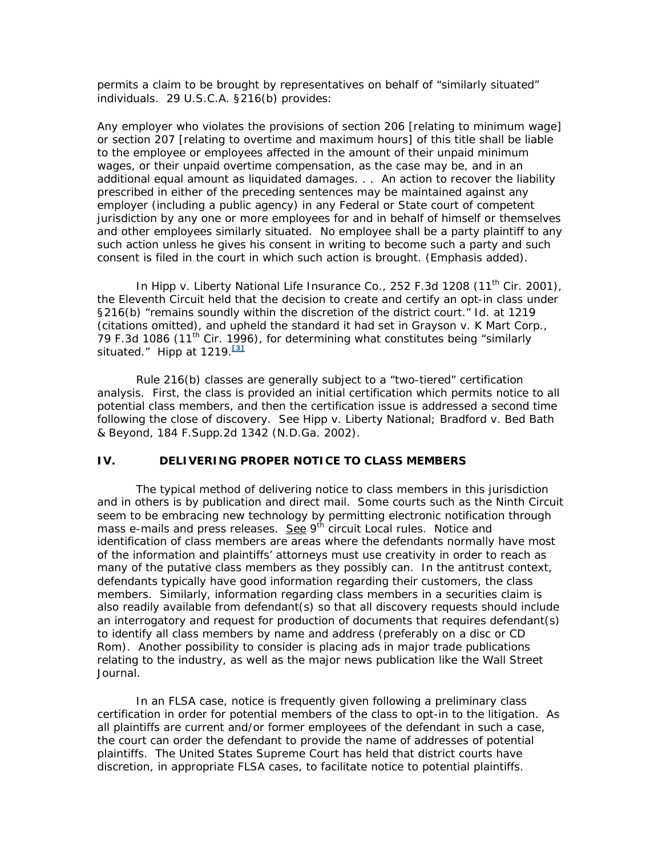permits a claim to be brought by representatives on behalf of "similarly situated" individuals. 29 U.S.C.A. §216(b) provides:

Any employer who violates the provisions of section 206 [relating to minimum wage] or section 207 [relating to overtime and maximum hours] of this title shall be liable to the employee or employees affected in the amount of their unpaid minimum wages, or their unpaid overtime compensation, as the case may be, and in an additional equal amount as liquidated damages. . . An action to recover the liability prescribed in either of the preceding sentences may be maintained against any employer (including a public agency) in any Federal or State court of competent jurisdiction by any one or more employees for and in behalf of himself or themselves and other employees *similarly situated*. No employee shall be a party plaintiff to any such action unless he gives his consent in writing to become such a party and such consent is filed in the court in which such action is brought. (Emphasis added).

In Hipp v. Liberty National Life Insurance Co., 252 F.3d 1208 (11<sup>th</sup> Cir. 2001), the Eleventh Circuit held that the decision to create and certify an opt-in class under §216(b) "remains soundly within the discretion of the district court." *Id.* at 1219 (citations omitted), and upheld the standard it had set in *Grayson v. K Mart Corp.*, 79 F.3d 1086 (11<sup>th</sup> Cir. 1996), for determining what constitutes being "similarly situated." *Hipp* at 1219.**[3]**

Rule 216(b) classes are generally subject to a "two-tiered" certification analysis. First, the class is provided an initial certification which permits notice to all potential class members, and then the certification issue is addressed a second time following the close of discovery. *See Hipp v. Liberty National; Bradford v. Bed Bath & Beyond,* 184 F.Supp.2d 1342 (N.D.Ga. 2002).

# **IV. DELIVERING PROPER NOTICE TO CLASS MEMBERS**

The typical method of delivering notice to class members in this jurisdiction and in others is by publication and direct mail. Some courts such as the Ninth Circuit seem to be embracing new technology by permitting electronic notification through mass e-mails and press releases. See 9<sup>th</sup> circuit Local rules. Notice and identification of class members are areas where the defendants normally have most of the information and plaintiffs' attorneys must use creativity in order to reach as many of the putative class members as they possibly can. In the antitrust context, defendants typically have good information regarding their customers, the class members. Similarly, information regarding class members in a securities claim is also readily available from defendant(s) so that all discovery requests should include an interrogatory and request for production of documents that requires defendant(s) to identify all class members by name and address (preferably on a disc or CD Rom). Another possibility to consider is placing ads in major trade publications relating to the industry, as well as the major news publication like the Wall Street Journal.

In an FLSA case, notice is frequently given following a preliminary class certification in order for potential members of the class to opt-in to the litigation. As all plaintiffs are current and/or former employees of the defendant in such a case, the court can order the defendant to provide the name of addresses of potential plaintiffs. The United States Supreme Court has held that district courts have discretion, in appropriate FLSA cases, to facilitate notice to potential plaintiffs.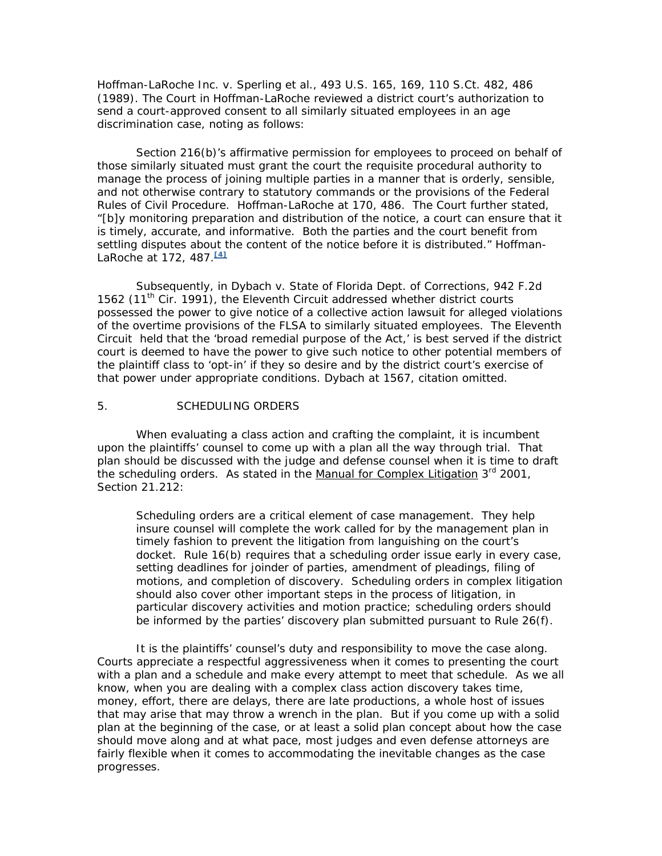*Hoffman-LaRoche Inc. v. Sperling et al.*, 493 U.S. 165, 169, 110 S.Ct. 482, 486 (1989). The Court in *Hoffman-LaRoche* reviewed a district court's authorization to send a court-approved consent to all similarly situated employees in an age discrimination case, noting as follows:

Section 216(b)'s affirmative permission for employees to proceed on behalf of those similarly situated must grant the court the requisite procedural authority to manage the process of joining multiple parties in a manner that is orderly, sensible, and not otherwise contrary to statutory commands or the provisions of the Federal Rules of Civil Procedure. *Hoffman-LaRoche* at 170, 486. The Court further stated, "[b]y monitoring preparation and distribution of the notice, a court can ensure that it is timely, accurate, and informative. Both the parties and the court benefit from settling disputes about the content of the notice before it is distributed." *Hoffman-LaRoche* at 172, 487.**[4]**

Subsequently, in *Dybach v. State of Florida Dept. of Corrections,* 942 F.2d 1562 (11<sup>th</sup> Cir. 1991), the Eleventh Circuit addressed whether district courts possessed the power to give notice of a collective action lawsuit for alleged violations of the overtime provisions of the FLSA to similarly situated employees. The Eleventh Circuit held that the 'broad remedial purpose of the Act,' is best served if the district court is deemed to have the power to give such notice to other potential members of the plaintiff class to 'opt-in' if they so desire and by the district court's exercise of that power under appropriate conditions. *Dybach* at 1567, citation omitted.

### 5. SCHEDULING ORDERS

When evaluating a class action and crafting the complaint, it is incumbent upon the plaintiffs' counsel to come up with a plan all the way through trial. That plan should be discussed with the judge and defense counsel when it is time to draft the scheduling orders. As stated in the Manual for Complex Litigation 3<sup>rd</sup> 2001, Section 21.212:

Scheduling orders are a critical element of case management. They help insure counsel will complete the work called for by the management plan in timely fashion to prevent the litigation from languishing on the court's docket. Rule 16(b) requires that a scheduling order issue early in every case, setting deadlines for joinder of parties, amendment of pleadings, filing of motions, and completion of discovery. Scheduling orders in complex litigation should also cover other important steps in the process of litigation, in particular discovery activities and motion practice; scheduling orders should be informed by the parties' discovery plan submitted pursuant to Rule 26(f).

It is the plaintiffs' counsel's duty and responsibility to move the case along. Courts appreciate a respectful aggressiveness when it comes to presenting the court with a plan and a schedule and make every attempt to meet that schedule. As we all know, when you are dealing with a complex class action discovery takes time, money, effort, there are delays, there are late productions, a whole host of issues that may arise that may throw a wrench in the plan. But if you come up with a solid plan at the beginning of the case, or at least a solid plan concept about how the case should move along and at what pace, most judges and even defense attorneys are fairly flexible when it comes to accommodating the inevitable changes as the case progresses.